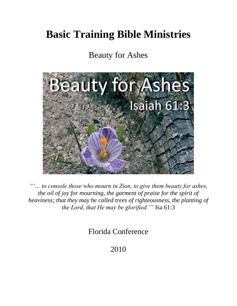# **Basic Training Bible Ministries**

## Beauty for Ashes



*"'… to console those who mourn in Zion, to give them beauty for ashes, the oil of joy for mourning, the garment of praise for the spirit of heaviness; that they may be called trees of righteousness, the planting of the Lord, that He may be glorified.'"* Isa 61:3

Florida Conference

2010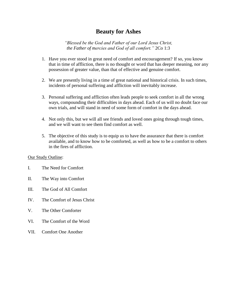### **Beauty for Ashes**

*"Blessed be the God and Father of our Lord Jesus Christ, the Father of mercies and God of all comfort."* 2Co 1:3

- 1. Have you ever stood in great need of comfort and encouragement? If so, you know that in time of affliction, there is no thought or word that has deeper meaning, nor any possession of greater value, than that of effective and genuine comfort.
- 2. We are presently living in a time of great national and historical crisis. In such times, incidents of personal suffering and affliction will inevitably increase.
- 3. Personal suffering and affliction often leads people to seek comfort in all the wrong ways, compounding their difficulties in days ahead. Each of us will no doubt face our own trials, and will stand in need of some form of comfort in the days ahead.
- 4. Not only this, but we will all see friends and loved ones going through tough times, and we will want to see them find comfort as well.
- 5. The objective of this study is to equip us to have the assurance that there is comfort available, and to know how to be comforted, as well as how to be a comfort to others in the fires of affliction.

#### Our Study Outline:

- I. The Need for Comfort
- II. The Way into Comfort
- III. The God of All Comfort
- IV. The Comfort of Jesus Christ
- V. The Other Comforter
- VI. The Comfort of the Word
- VII. Comfort One Another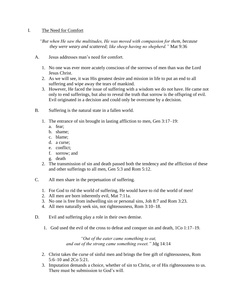#### I. The Need for Comfort

*"But when He saw the multitudes, He was moved with compassion for them, because they were weary and scattered; like sheep having no shepherd."* Mat 9:36

- A. Jesus addresses man's need for comfort.
	- 1. No one was ever more acutely conscious of the sorrows of men than was the Lord Jesus Christ.
	- 2. As we will see, it was His greatest desire and mission in life to put an end to all suffering and wipe away the tears of mankind.
	- 3. However, He faced the issue of suffering with a wisdom we do not have. He came not only to end sufferings, but also to reveal the truth that sorrow is the offspring of evil. Evil originated in a decision and could only be overcome by a decision.
- B. Suffering is the natural state in a fallen world.
	- 1. The entrance of sin brought in lasting affliction to men, Gen 3:17–19:
		- a. fear;
		- b. shame;
		- c. blame;
		- d. a curse;
		- e. conflict;
		- f. sorrow; and
		- g. death
	- 2. The transmission of sin and death passed both the tendency and the affliction of these and other sufferings to all men, Gen 5:3 and Rom 5:12.
- C. All men share in the perpetuation of suffering.
	- 1. For God to rid the world of suffering, He would have to rid the world of men!
	- 2. All men are born inherently evil, Mat 7:11a.
	- 3. No one is free from indwelling sin or personal sins, Joh 8:7 and Rom 3:23.
	- 4. All men naturally seek sin, not righteousness, Rom 3:10–18.
- D. Evil and suffering play a role in their own demise.
	- 1. God used the evil of the cross to defeat and conquer sin and death, 1Co 1:17–19.

#### *"Out of the eater came something to eat, and out of the strong came something sweet."* Jdg 14:14

- 2. Christ takes the curse of sinful men and brings the free gift of righteousness, Rom 5:6–10 and 2Co 5:21.
- 3. Imputation demands a choice, whether of sin to Christ, or of His righteousness to us. There must be submission to God's will.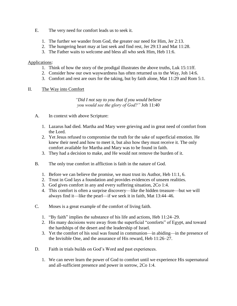- E. The very need for comfort leads us to seek it.
	- 1. The further we wander from God, the greater our need for Him, Jer 2:13.
	- 2. The hungering heart may at last seek and find rest, Jer 29:13 and Mat 11:28.
	- 3. The Father waits to welcome and bless all who seek Him, Heb 11:6.

- 1. Think of how the story of the prodigal illustrates the above truths, Luk 15:11ff.
- 2. Consider how our own waywardness has often returned us to the Way, Joh 14:6.
- 3. Comfort and rest are ours for the taking, but by faith alone, Mat 11:29 and Rom 5:1.

#### II. The Way into Comfort

#### *"Did I not say to you that if you would believe you would see the glory of God?"* Joh 11:40

- A. In context with above Scripture:
	- 1. Lazarus had died. Martha and Mary were grieving and in great need of comfort from the Lord.
	- 2. Yet Jesus refused to compromise the truth for the sake of superficial emotion. He knew their need and how to meet it, but also how they must receive it. The only comfort available for Martha and Mary was to be found in faith.
	- 3. They had a decision to make, and He would not remove the burden of it.
- B. The only true comfort in affliction is faith in the nature of God.
	- 1. Before we can believe the promise, we must trust its Author, Heb 11:1, 6.
	- 2. Trust in God lays a foundation and provides evidences of unseen realities.
	- 3. God gives comfort in any and every suffering situation, 2Co 1:4.
	- 4. This comfort is often a surprise discovery—like the hidden treasure—but we will always find it—like the pearl—if we seek it in faith, Mat 13:44–46.
- C. Moses is a great example of the comfort of living faith.
	- 1. "By faith" implies the substance of his life and actions, Heb 11:24–29.
	- 2. His many decisions were away from the superficial "comforts" of Egypt, and toward the hardships of the desert and the leadership of Israel.
	- 3. Yet the comfort of his soul was found in communion—in abiding—in the presence of the Invisible One, and the assurance of His reward, Heb 11:26–27.
- D. Faith in trials builds on God's Word and past experiences.
	- 1. We can never learn the power of God to comfort until we experience His supernatural and all-sufficient presence and power in sorrow, 2Co 1:4.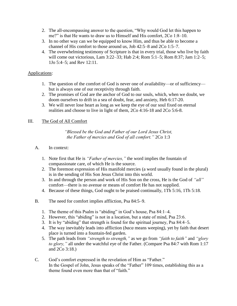- 2. The all-encompassing answer to the question, "Why would God let this happen to me?" is that He wants to draw us to Himself and His comfort, 2Co 1:8–10.
- 3. In no other way can we be equipped to know Him, and thus be able to become a channel of His comfort to those around us, Job 42:5–8 and 2Co 1:5–7.
- 4. The overwhelming testimony of Scripture is that in every trial, those who live by faith will come out victorious, Lam 3:22–33; Hab 2:4; Rom 5:1–5; Rom 8:37; Jam 1:2–5; 1Jo 5:4–5; and Rev 12:11.

- 1. The question of the comfort of God is never one of availability—or of sufficiency but is always one of our receptivity through faith.
- 2. The promises of God are the anchor of God to our souls, which, when we doubt, we doom ourselves to drift in a sea of doubt, fear, and anxiety, Heb 6:17-20.
- 3. We will never lose heart as long as we keep the eye of our soul fixed on eternal realities and choose to live in light of them, 2Co 4:16-18 and 2Co 5:6-8.

#### III. The God of All Comfort

#### *"Blessed be the God and Father of our Lord Jesus Christ, the Father of mercies and God of all comfort."* 2Co 1:3

- 1. Note first that He is *"Father of mercies,"* the word implies the fountain of compassionate care, of which He is the source.
- 2. The foremost expression of His manifold mercies (a word usually found in the plural) is in the sending of His Son Jesus Christ into this world.
- 3. In and through the person and work of His Son on the cross, He is the God of *"all"* comfort—there is no avenue or means of comfort He has not supplied.
- 4. Because of these things, God ought to be praised continually, 1Th 5:16, 1Th 5:18.
- B. The need for comfort implies affliction, Psa 84:5–9.
	- 1. The theme of this Psalm is "abiding" in God's house, Psa 84:1–4.
	- 2. However, this "abiding" is not in a location, but a state of mind, Psa 23:6.
	- 3. It is by "abiding" that strength is found for the spiritual journey, Psa 84:4–5.
	- 4. The way inevitably leads into affliction (*baca* means weeping), yet by faith that desert place is turned into a fountain-fed garden.
	- 5. The path leads from *"strength to strength,"* as we go from *"faith to faith"* and *"glory to glory,"* all under the watchful eye of the Father. (Compare Psa 84:7 with Rom 1:17 and 2Co 3:18.)
- C. God's comfort expressed in the revelation of Him as "Father." In the Gospel of John, Jesus speaks of the "Father" 109 times, establishing this as a theme found even more than that of "faith."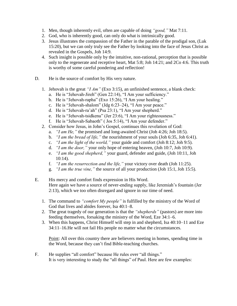- 1. Men, though inherently evil, often are capable of doing *"good,"* Mat 7:11.
- 2. God, who is inherently good, can only do what is intrinsically good.
- 3. Jesus illustrates the compassion of the Father in the parable of the prodigal son, (Luk 15:20), but we can only truly see the Father by looking into the face of Jesus Christ as revealed in the Gospels, Joh 14:9.
- 4. Such insight is possible only by the intuitive, non-rational, perception that is possible only to the regenerate and receptive heart, Mat 5:8; Joh 14:21; and 2Co 4:6. This truth is worthy of some careful pondering and reflection!
- D. He is the source of comfort by His very nature.
	- 1. Jehovah is the great *"I Am"* (Exo 3:15), an unfinished sentence, a blank check:
		- a. He is "Jehovah-Jireh" (Gen 22:14), "I Am your sufficiency."
		- b. He is "Jehovah-rapha" (Exo 15:26), "I Am your healing."
		- c. He is "Jehovah-shalom" (Jdg 6:23–24), "I Am your peace."
		- d. He is "Jehovah-ra'ah" (Psa 23:1), "I Am your shepherd."
		- e. He is "Jehovah-tsidkenu" (Jer 23:6), "I Am your righteousness."
		- f. He is "Jehovah-Sabaoth" ( Jos 5:14), "I Am your defender."
	- 2. Consider how Jesus, in John's Gospel, continues this revelation of God:
		- a. *"I am He,"* the promised and long-awaited Christ (Joh 4:26; Joh 18:5).
		- b. *"I am the bread of life,"* the nourishment of your souls (Joh 6:35, Joh 6:41).
		- c. *"I am the light of the world,"* your guide and comfort (Joh 8:12; Joh 9:5).
		- d. *"I am the door,"* your only hope of entering heaven, (Joh 10:7, Joh 10:9).
		- e. *"I am the good shepherd,"* your guard, defender and guide, (Joh 10:11, Joh 10:14).
		- f. *"I am the resurrection and the life,"* your victory over death (Joh 11:25).
		- g. *"I am the true vine,"* the source of all your production (Joh 15:1, Joh 15:5).
- E. His mercy and comfort finds expression in His Word. Here again we have a source of never-ending supply, like Jeremiah's fountain (Jer 2:13), which we too often disregard and ignore in our time of need.
	- 1. The command to *"comfort My people"* is fulfilled by the ministry of the Word of God that lives and abides forever, Isa 40:1–8.
	- 2. The great tragedy of our generation is that the *"shepherds"* (pastors) are more into feeding themselves, forsaking the ministry of the Word, Eze 34:1–6.
	- 3. When this happens, Christ Himself will step in and shepherd, Isa 40:10–11 and Eze 34:11–16.He will not fail His people no matter what the circumstances.

Point: All over this country there are believers meeting in homes, spending time in the Word, because they can't find Bible-teaching churches.

F. He supplies "all comfort" because He rules over "all things." It is very interesting to study the "all things" of Paul. Here are few examples: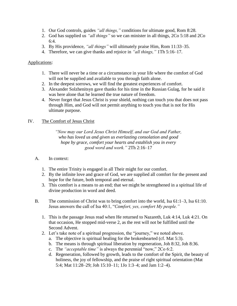- 1. Our God controls, guides *"all things,"* conditions for ultimate good, Rom 8:28.
- 2. God has supplied us *"all things"* so we can minister in all things, 2Co 5:18 and 2Co 6:4.
- 3. By His providence, *"all things"* will ultimately praise Him, Rom 11:33–35.
- 4. Therefore, we can give thanks and rejoice in *"all things,"* 1Th 5:16–17.

- 1. There will never be a time or a circumstance in your life where the comfort of God will not be supplied and available to you through faith alone.
- 2. In the deepest sorrows, we will find the greatest experiences of comfort.
- 3. Alexander Solzhenitsyn gave thanks for his time in the Russian Gulag, for he said it was here alone that he learned the true nature of freedom.
- 4. Never forget that Jesus Christ is your shield, nothing can touch you that does not pass through Him, and God will not permit anything to touch you that is not for His ultimate purpose.

#### IV. The Comfort of Jesus Christ

*"Now may our Lord Jesus Christ Himself, and our God and Father, who has loved us and given us everlasting consolation and good hope by grace, comfort your hearts and establish you in every good word and work."* 2Th 2:16–17

- A. In context:
	- 1. The entire Trinity is engaged in all Their might for our comfort.
	- 2. By the infinite love and grace of God, we are supplied all comfort for the present and hope for the future, both temporal and eternal.
	- 3. This comfort is a means to an end; that we might be strengthened in a spiritual life of divine production in word and deed.
- B. The commission of Christ was to bring comfort into the world, Isa 61:1–3, Isa 61:10. Jesus answers the call of Isa 40:1, "*Comfort, yes, comfort My people."*
	- 1. This is the passage Jesus read when He returned to Nazareth, Luk 4:14, Luk 4:21. On that occasion, He stopped mid-verse 2, as the rest will not be fulfilled until the Second Advent.
	- 2. Let's take note of a spiritual progression, the "journey," we noted above.
		- a. The objective is spiritual healing for the brokenhearted (cf. Mat 5:3).
		- b. The means is through spiritual liberation by regeneration, Joh 8:32, Joh 8:36.
		- c. The *"acceptable time"* is always the perennial "now," 2Co 6:2.
		- d. Regeneration, followed by growth, leads to the comfort of the Spirit, the beauty of holiness, the joy of fellowship, and the praise of right spiritual orientation (Mat 5:4; Mat 11:28–29; Joh 15:10–11; 1Jo 1:3–4; and Jam 1:2–4).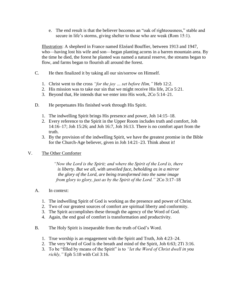e. The end result is that the believer becomes an "oak of righteousness," stable and secure in life's storms, giving shelter to those who are weak (Rom 15:1).

Illustration: A shepherd in France named Elzéard Bouffier, between 1913 and 1947, who—having lost his wife and son—began planting acorns in a barren mountain area. By the time he died, the forest he planted was named a natural reserve, the streams began to flow, and farms began to flourish all around the forest.

- C. He then finalized it by taking all our sin/sorrow on Himself.
	- 1. Christ went to the cross *"for the joy … set before Him,"* Heb 12:2.
	- 2. His mission was to take our sin that we might receive His life, 2Co 5:21.
	- 3. Beyond that, He intends that we enter into His work, 2Co 5:14–21.
- D. He perpetuates His finished work through His Spirit.
	- 1. The indwelling Spirit brings His presence and power, Joh 14:15–18.
	- 2. Every reference to the Spirit in the Upper Room includes truth and comfort, Joh 14:16–17; Joh 15:26; and Joh 16:7, Joh 16:13. There is no comfort apart from the truth.
	- 3. By the provision of the indwelling Spirit, we have the greatest promise in the Bible for the Church-Age believer, given in Joh 14:21–23. Think about it!

#### V. The Other Comforter

*"Now the Lord is the Spirit; and where the Spirit of the Lord is, there is liberty. But we all, with unveiled face, beholding as in a mirror the glory of the Lord, are being transformed into the same image from glory to glory, just as by the Spirit of the Lord."* 2Co 3:17–18

- 1. The indwelling Spirit of God is working as the presence and power of Christ.
- 2. Two of our greatest sources of comfort are spiritual liberty and conformity.
- 3. The Spirit accomplishes these through the agency of the Word of God.
- 4. Again, the end goal of comfort is transformation and productivity.
- B. The Holy Spirit is inseparable from the truth of God's Word.
	- 1. True worship is an engagement with the Spirit and Truth, Joh 4:23–24.
	- 2. The very Word of God is the breath and mind of the Spirit, Joh 6:63; 2Ti 3:16.
	- 3. To be "filled by means of the Spirit" is to *"let the Word of Christ dwell in you richly,"* Eph 5:18 with Col 3:16.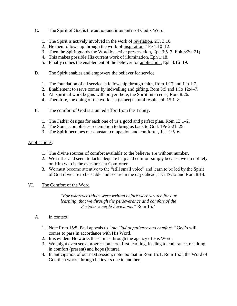- C. The Spirit of God is the author and interpreter of God's Word.
	- 1. The Spirit is actively involved in the work of revelation, 2Ti 3:16.
	- 2. He then follows up through the work of inspiration, 1Pe 1:10–12.
	- 3. Then the Spirit guards the Word by active preservation, Eph 3:5–7, Eph 3:20–21).
	- 4. This makes possible His current work of illumination, Eph 1:18.
	- 5. Finally comes the enablement of the believer for application, Eph 3:16–19.
- D. The Spirit enables and empowers the believer for service.
	- 1. The foundation of all service is fellowship through faith, Rom 1:17 and 1Jo 1:7.
	- 2. Enablement to serve comes by indwelling and gifting, Rom 8:9 and 1Co 12:4–7.
	- 3. All spiritual work begins with prayer; here, the Spirit intercedes, Rom 8:26.
	- 4. Therefore, the doing of the work is a (super) natural result, Joh 15:1–8.
- E. The comfort of God is a united effort from the Trinity.
	- 1. The Father designs for each one of us a good and perfect plan, Rom 12:1–2.
	- 2. The Son accomplishes redemption to bring us back to God, 1Pe 2:21–25.
	- 3. The Spirit becomes our constant companion and comforter, 1Th 1:5–6.

- 1. The divine sources of comfort available to the believer are without number.
- 2. We suffer and seem to lack adequate help and comfort simply because we do not rely on Him who is the ever-present Comforter.
- 3. We must become attentive to the "still small voice" and learn to be led by the Spirit of God if we are to be stable and secure in the days ahead, 1Ki 19:12 and Rom 8:14.

#### VI. The Comfort of the Word

*"For whatever things were written before were written for our learning, that we through the perseverance and comfort of the Scriptures might have hope."* Rom 15:4

- 1. Note Rom 15:5, Paul appeals to *"the God of patience and comfort."* God's will comes to pass in accordance with His Word.
- 2. It is evident He works these in us through the agency of His Word.
- 3. We might even see a progression here: first learning, leading to endurance, resulting in comfort (present) and hope (future).
- 4. In anticipation of our next session, note too that in Rom 15:1, Rom 15:5, the Word of God then works through believers one to another.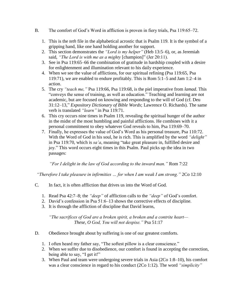- B. The comfort of God's Word in affliction is proven in fiery trials, Psa 119:65–72.
	- 1. This is the *teth* file in the alphabetical acrostic that is Psalm 119. It is the symbol of a gripping hand, like one hand holding another for support.
	- 2. This section demonstrates the *"Lord is my helper"* (Heb 13:5–6), or, as Jeremiah said, *"The Lord is with me as a mighty* [champion]" (Jer 20:11).
	- 3. See in Psa 119:65–66 the combination of gratitude in hardship coupled with a desire for enlightenment and illumination relevant to his daily experience.
	- 4. When we see the value of afflictions, for our spiritual refining (Psa 119:65, Psa 119:71), we are enabled to endure profitably. This is Rom 5:1–5 and Jam 1:2–4 in action.
	- 5. The cry *"teach me,"* Psa 119:66, Psa 119:68, is the piel imperative from *lamad*. This "conveys the sense of training, as well as education." Teaching and learning are not academic, but are focused on knowing and responding to the will of God (cf. Deu 31:12–13," *Expository Dictionary of Bible Words*; Lawrence O. Richards). The same verb is translated *"learn"* in Psa 119:71.
	- 6. This cry occurs nine times in Psalm 119, revealing the spiritual hunger of the author in the midst of the most humbling and painful afflictions. He combines with it a personal commitment to obey whatever God reveals to him, Psa 119:69–70.
	- 7. Finally, he expresses the value of God's Word as his personal treasure, Psa 110:72. With the Word of God in his soul, he is rich. This is amplified by the word *"delight"* in Psa 119:70, which is *sa'a*, meaning "take great pleasure in, fulfilled desire and joy." This word occurs eight times in this Psalm. Paul picks up the idea in two passages:

*"For I delight in the law of God according to the inward man."* Rom 7:22

*"Therefore I take pleasure in infirmities … for when I am weak I am strong."* 2Co 12:10

- C. In fact, it is often affliction that drives us into the Word of God.
	- 1. Read Psa 42:7–8; the *"deep"* of affliction calls to the *"deep"* of God's comfort.
	- 2. David's confession in Psa 51:6–13 shows the corrective effects of discipline.
	- 3. It is through the affliction of discipline that David learns,

*"The sacrifices of God are a broken spirit, a broken and a contrite heart— These, O God, You will not despise."* Psa 51:17

- D. Obedience brought about by suffering is one of our greatest comforts.
	- 1. I often heard my father say, "The softest pillow is a clear conscience."
	- 2. When we suffer due to disobedience, our comfort is found in accepting the correction, being able to say, "I get it!"
	- 3. When Paul and team were undergoing severe trials in Asia (2Co 1:8–10), his comfort was a clear conscience in regard to his conduct (2Co 1:12). The word *"simplicity"*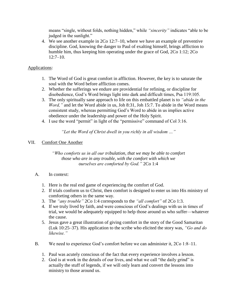means "single, without folds, nothing hidden," while *"sincerity"* indicates "able to be judged in the sunlight."

4. We see another example in 2Co 12:7–10, where we have an example of preventive discipline. God, knowing the danger to Paul of exalting himself, brings affliction to humble him, thus keeping him operating under the grace of God, 2Co 1:12; 2Co  $12:7-10.$ 

#### Applications:

- 1. The Word of God is great comfort in affliction. However, the key is to saturate the soul with the Word before affliction comes.
- 2. Whether the sufferings we endure are providential for refining, or discipline for disobedience, God's Word brings light into dark and difficult times, Psa 119:105.
- 3. The only spiritually sane approach to life on this embattled planet is to *"abide in the Word,"* and let the Word abide in us, Joh 8:31, Joh 15:7. To abide in the Word means consistent study, whereas permitting God's Word to abide in us implies active obedience under the leadership and power of the Holy Spirit.
- 4. I use the word "permit" in light of the "permissive" command of Col 3:16.

*"Let the Word of Christ dwell in you richly in all wisdom …"*

#### VII. Comfort One Another

*"Who comforts us in all our tribulation, that we may be able to comfort those who are in any trouble, with the comfort with which we ourselves are comforted by God."* 2Co 1:4

- 1. Here is the real end game of experiencing the comfort of God.
- 2. If trials conform us to Christ, then comfort is designed to enter us into His ministry of comforting others in the same way.
- 3. The *"any trouble"* 2Co 1:4 corresponds to the *"all comfort"* of 2Co 1:3.
- 4. If we truly lived by faith, and were conscious of God's dealings with us in times of trial, we would be adequately equipped to help those around us who suffer—whatever the cause.
- 5. Jesus gave a great illustration of giving comfort in the story of the Good Samaritan (Luk 10:25–37). His application to the scribe who elicited the story was, *"Go and do likewise."*
- B. We need to experience God's comfort before we can administer it, 2Co 1:8–11.
	- 1. Paul was acutely conscious of the fact that every experience involves a lesson.
	- 2. God is at work in the details of our lives, and what we call "the daily grind" is actually the stuff of legends, if we will only learn and convert the lessons into ministry to those around us.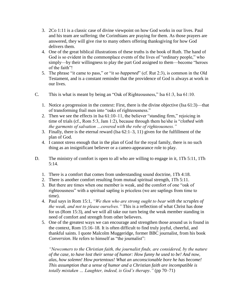- 3. 2Co 1:11 is a classic case of divine viewpoint on how God works in our lives. Paul and his team are suffering; the Corinthians are praying for them. As those prayers are answered, they will give rise to many others offering thanksgiving for how God delivers them.
- 4. One of the great biblical illustrations of these truths is the book of Ruth. The hand of God is so evident in the commonplace events of the lives of "ordinary people," who simply—by their willingness to play the part God assigned to them—become "heroes of the faith"!
- 5. The phrase "it came to pass," or "it so *happened*" (cf. Rut 2:3), is common in the Old Testament, and is a constant reminder that the providence of God is always at work in our lives.
- C. This is what is meant by being an "Oak of Righteousness," Isa 61:3, Isa 61:10.
	- 1. Notice a progression in the context: First, there is the divine objective (Isa 61:3)—that of transforming frail men into "oaks of righteousness."
	- 2. Then we see the effects in Isa 61:10–11, the believer "standing firm," rejoicing in time of trials (cf., Rom 5:3, Jam 1:2), because through them he/she is "*clothed with the garments of salvation …covered with the robe of righteousness."*
	- 3. Finally, there is the eternal reward (Isa 62:1–3, 11) given for the fulfillment of the plan of God.
	- 4. I cannot stress enough that in the plan of God for the royal family, there is no such thing as an insignificant believer or a cameo-appearance role to play.
- D. The ministry of comfort is open to all who are willing to engage in it, 1Th 5:11, 1Th 5:14.
	- 1. There is a comfort that comes from understanding sound doctrine, 1Th 4:18.
	- 2. There is another comfort resulting from mutual spiritual strength, 1Th 5:11.
	- 3. But there are times when one member is weak, and the comfort of one "oak of righteousness" with a spiritual sapling is priceless (we are saplings from time to time).
	- 4. Paul says in Rom 15:1, *"We then who are strong ought to bear with the scruples of the weak, and not to please ourselves."* This is a reflection of what Christ has done for us (Rom 15:3), and we will all take our turn being the weak member standing in need of comfort and strength from other believers.
	- 5. One of the greatest ways we can encourage and strengthen those around us is found in the context, Rom 15:16–18. It is often difficult to find truly joyful, cheerful, and thankful saints. I quote Malcolm Muggeridge, former BBC journalist, from his book *Conversion*. He refers to himself as "the journalist":

*"Newcomers to the Christian faith, the journalist finds, are considered, by the nature of the case, to have lost their sense of humor: How funny he used to be! And now, alas, how solemn! How portentous! What an unconscionable bore he has become! This assumption that a sense of humor and a Christian faith are incompatible is totally mistaken … Laughter, indeed, is God's therapy."* (pp 70–71)